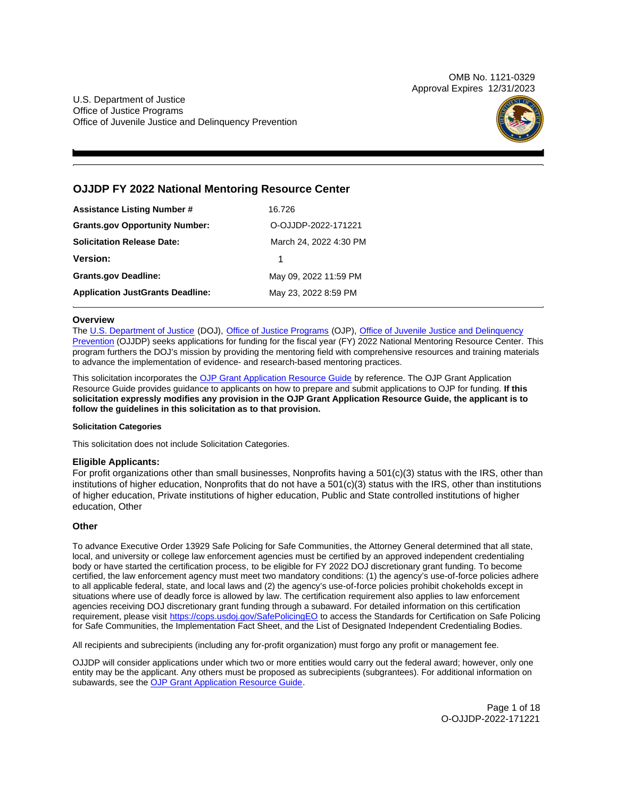OMB No. 1121-0329 Approval Expires 12/31/2023

U.S. Department of Justice Office of Justice Programs Office of Juvenile Justice and Delinquency Prevention



# **OJJDP FY 2022 National Mentoring Resource Center**

| <b>Assistance Listing Number #</b>      | 16.726                 |  |
|-----------------------------------------|------------------------|--|
| <b>Grants.gov Opportunity Number:</b>   | O-OJJDP-2022-171221    |  |
| <b>Solicitation Release Date:</b>       | March 24, 2022 4:30 PM |  |
| <b>Version:</b>                         |                        |  |
| <b>Grants.gov Deadline:</b>             | May 09, 2022 11:59 PM  |  |
| <b>Application JustGrants Deadline:</b> | May 23, 2022 8:59 PM   |  |

# **Overview**

The [U.S. Department of Justice](https://www.usdoj.gov/) (DOJ), [Office of Justice Programs](https://www.ojp.gov/) (OJP), [Office of Juvenile Justice and Delinquency](https://ojjdp.ojp.gov/)  [Prevention](https://ojjdp.ojp.gov/) (OJJDP) seeks applications for funding for the fiscal year (FY) 2022 National Mentoring Resource Center. This program furthers the DOJ's mission by providing the mentoring field with comprehensive resources and training materials to advance the implementation of evidence- and research-based mentoring practices.

This solicitation incorporates the [OJP Grant Application Resource Guide](https://www.ojp.gov/funding/Apply/Resources/Grant-App-Resource-Guide.htm) by reference. The OJP Grant Application Resource Guide provides guidance to applicants on how to prepare and submit applications to OJP for funding. **If this solicitation expressly modifies any provision in the OJP Grant Application Resource Guide, the applicant is to follow the guidelines in this solicitation as to that provision.** 

# **Solicitation Categories**

This solicitation does not include Solicitation Categories.

# **Eligible Applicants:**

For profit organizations other than small businesses, Nonprofits having a 501(c)(3) status with the IRS, other than institutions of higher education, Nonprofits that do not have a 501(c)(3) status with the IRS, other than institutions of higher education, Private institutions of higher education, Public and State controlled institutions of higher education, Other

# **Other**

To advance Executive Order 13929 Safe Policing for Safe Communities, the Attorney General determined that all state, local, and university or college law enforcement agencies must be certified by an approved independent credentialing body or have started the certification process, to be eligible for FY 2022 DOJ discretionary grant funding. To become certified, the law enforcement agency must meet two mandatory conditions: (1) the agency's use-of-force policies adhere to all applicable federal, state, and local laws and (2) the agency's use-of-force policies prohibit chokeholds except in situations where use of deadly force is allowed by law. The certification requirement also applies to law enforcement agencies receiving DOJ discretionary grant funding through a subaward. For detailed information on this certification requirement, please visit [https://cops.usdoj.gov/SafePolicingEO](https://cops.usdoj.gov/SafePolicingEO%20) to access the Standards for Certification on Safe Policing for Safe Communities, the Implementation Fact Sheet, and the List of Designated Independent Credentialing Bodies.

All recipients and subrecipients (including any for-profit organization) must forgo any profit or management fee.

OJJDP will consider applications under which two or more entities would carry out the federal award; however, only one entity may be the applicant. Any others must be proposed as subrecipients (subgrantees). For additional information on subawards, see the [OJP Grant Application Resource Guide.](https://www.ojp.gov/funding/Apply/Resources/Grant-App-Resource-Guide.htm)

> Page 1 of 18 O-OJJDP-2022-171221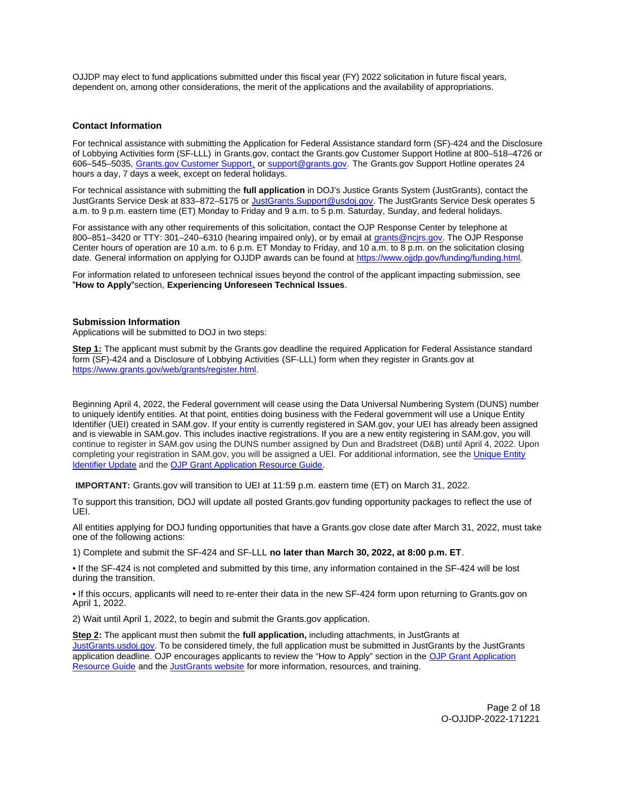<span id="page-1-0"></span>OJJDP may elect to fund applications submitted under this fiscal year (FY) 2022 solicitation in future fiscal years, dependent on, among other considerations, the merit of the applications and the availability of appropriations.

## **Contact Information**

For technical assistance with submitting the Application for Federal Assistance standard form (SF)-424 and the Disclosure of Lobbying Activities form (SF-LLL) in Grants.gov, contact the Grants.gov Customer Support Hotline at 800–518–4726 or 606–545–5035, [Grants.gov Customer Support,](https://www.grants.gov/web/grants/support.html) or [support@grants.gov.](mailto:support@grants.gov) The [Grants.gov](https://Grants.gov) Support Hotline operates 24 hours a day, 7 days a week, except on federal holidays.

For technical assistance with submitting the **full application** in DOJ's Justice Grants System (JustGrants), contact the JustGrants Service Desk at 833–872–5175 or [JustGrants.Support@usdoj.gov.](mailto:JustGrants.Support@usdoj.gov) The JustGrants Service Desk operates 5 a.m. to 9 p.m. eastern time (ET) Monday to Friday and 9 a.m. to 5 p.m. Saturday, Sunday, and federal holidays.

For assistance with any other requirements of this solicitation, contact the OJP Response Center by telephone at 800–851–3420 or TTY: 301–240–6310 (hearing impaired only), or by email at [grants@ncjrs.gov.](mailto:grants@ncjrs.gov) The OJP Response Center hours of operation are 10 a.m. to 6 p.m. ET Monday to Friday, and 10 a.m. to 8 p.m. on the solicitation closing date. General information on applying for OJJDP awards can be found at [https://www.ojjdp.gov/funding/funding.html.](https://www.ojjdp.gov/funding/funding.html) 

For information related to unforeseen technical issues beyond the control of the applicant impacting submission, see "**How to Apply**"section, **Experiencing Unforeseen Technical Issues**.

# **Submission Information**

Applications will be submitted to DOJ in two steps:

**Step 1:** The applicant must submit by the [Grants.gov](https://Grants.gov) deadline the required Application for Federal Assistance standard form (SF)-424 and a Disclosure of Lobbying Activities (SF-LLL) form when they register in [Grants.gov](https://Grants.gov) at [https://www.grants.gov/web/grants/register.html.](https://www.grants.gov/web/grants/register.html) 

Beginning April 4, 2022, the Federal government will cease using the Data Universal Numbering System (DUNS) number to uniquely identify entities. At that point, entities doing business with the Federal government will use a Unique Entity Identifier (UEI) created in SAM.gov. If your entity is currently registered in SAM.gov, your UEI has already been assigned and is viewable in SAM.gov. This includes inactive registrations. If you are a new entity registering in SAM.gov, you will continue to register in SAM.gov using the DUNS number assigned by Dun and Bradstreet (D&B) until April 4, 2022. Upon completing your registration in SAM.gov, you will be assigned a UEI. For additional information, see the Unique Entity [Identifier Update](https://www.gsa.gov/about-us/organization/federal-acquisition-service/office-of-systems-management/integrated-award-environment-iae/iae-systems-information-kit/unique-entity-identifier-update) and the [OJP Grant Application Resource Guide.](https://www.ojp.gov/funding/apply/ojp-grant-application-resource-guide#unique-entity)

**IMPORTANT:** [Grants.gov](https://Grants.gov) will transition to UEI at 11:59 p.m. eastern time (ET) on March 31, 2022.

To support this transition, DOJ will update all posted [Grants.gov](https://Grants.gov) funding opportunity packages to reflect the use of UEI.

All entities applying for DOJ funding opportunities that have a [Grants.gov](https://Grants.gov) close date after March 31, 2022, must take one of the following actions:

1) Complete and submit the SF-424 and SF-LLL **no later than March 30, 2022, at 8:00 p.m. ET**.

• If the SF-424 is not completed and submitted by this time, any information contained in the SF-424 will be lost during the transition.

• If this occurs, applicants will need to re-enter their data in the new SF-424 form upon returning to [Grants.gov](https://Grants.gov) on April 1, 2022.

2) Wait until April 1, 2022, to begin and submit the [Grants.gov](https://Grants.gov) application.

**Step 2:** The applicant must then submit the **full application,** including attachments, in JustGrants at [JustGrants.usdoj.gov.](https://justicegrants.usdoj.gov/) To be considered timely, the full application must be submitted in JustGrants by the JustGrants application deadline. OJP encourages applicants to review the "How to Apply" section in the [OJP Grant Application](https://www.ojp.gov/funding/apply/ojp-grant-application-resource-guide#apply)  [Resource Guide](https://www.ojp.gov/funding/apply/ojp-grant-application-resource-guide#apply) and the [JustGrants website](https://justicegrants.usdoj.gov/news) for more information, resources, and training.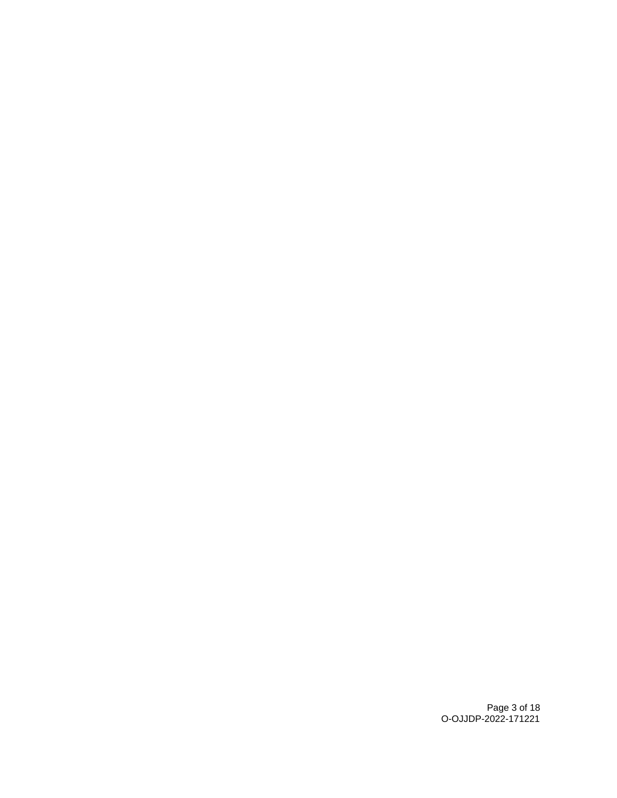Page 3 of 18 O-OJJDP-2022-171221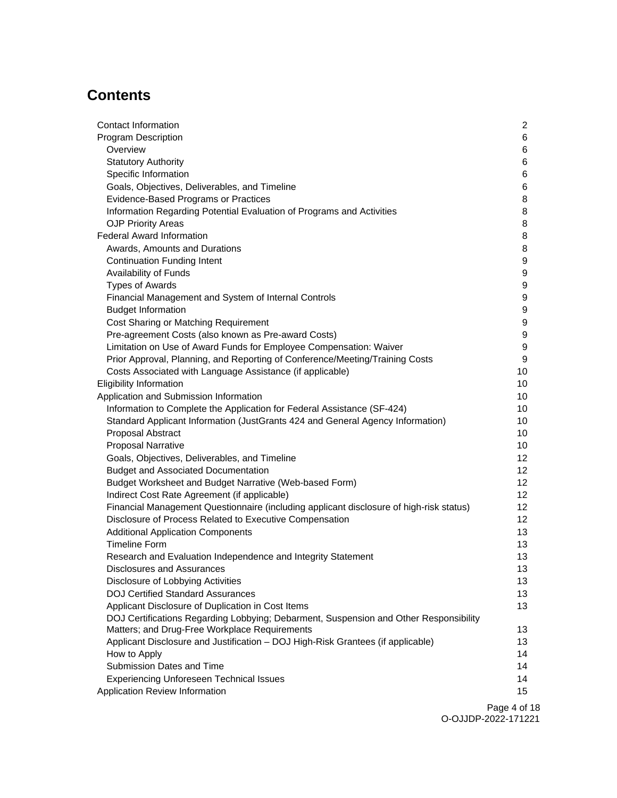# **Contents**

| Contact Information                                                                     | $\overline{2}$  |
|-----------------------------------------------------------------------------------------|-----------------|
| <b>Program Description</b>                                                              | 6               |
| Overview                                                                                | 6               |
| <b>Statutory Authority</b>                                                              | 6               |
| Specific Information                                                                    | 6               |
| Goals, Objectives, Deliverables, and Timeline                                           | 6               |
| Evidence-Based Programs or Practices                                                    | 8               |
| Information Regarding Potential Evaluation of Programs and Activities                   | 8               |
| <b>OJP Priority Areas</b>                                                               | 8               |
| <b>Federal Award Information</b>                                                        | 8               |
| Awards, Amounts and Durations                                                           | 8               |
| <b>Continuation Funding Intent</b>                                                      | 9               |
| Availability of Funds                                                                   | 9               |
| <b>Types of Awards</b>                                                                  | 9               |
| Financial Management and System of Internal Controls                                    | 9               |
| <b>Budget Information</b>                                                               | 9               |
| Cost Sharing or Matching Requirement                                                    | 9               |
| Pre-agreement Costs (also known as Pre-award Costs)                                     | 9               |
| Limitation on Use of Award Funds for Employee Compensation: Waiver                      | 9               |
| Prior Approval, Planning, and Reporting of Conference/Meeting/Training Costs            | 9               |
| Costs Associated with Language Assistance (if applicable)                               | 10              |
| <b>Eligibility Information</b>                                                          | 10              |
| Application and Submission Information                                                  | 10              |
| Information to Complete the Application for Federal Assistance (SF-424)                 | 10              |
| Standard Applicant Information (JustGrants 424 and General Agency Information)          | 10              |
| Proposal Abstract                                                                       | 10              |
| <b>Proposal Narrative</b>                                                               | 10              |
| Goals, Objectives, Deliverables, and Timeline                                           | 12              |
| <b>Budget and Associated Documentation</b>                                              | 12              |
| Budget Worksheet and Budget Narrative (Web-based Form)                                  | 12              |
| Indirect Cost Rate Agreement (if applicable)                                            | 12 <sub>2</sub> |
| Financial Management Questionnaire (including applicant disclosure of high-risk status) | 12              |
| Disclosure of Process Related to Executive Compensation                                 | 12 <sub>2</sub> |
| <b>Additional Application Components</b>                                                | 13              |
| <b>Timeline Form</b>                                                                    | 13              |
| Research and Evaluation Independence and Integrity Statement                            | 13              |
| <b>Disclosures and Assurances</b>                                                       | 13              |
| Disclosure of Lobbying Activities                                                       | 13              |
| <b>DOJ Certified Standard Assurances</b>                                                | 13              |
| Applicant Disclosure of Duplication in Cost Items                                       | 13              |
| DOJ Certifications Regarding Lobbying; Debarment, Suspension and Other Responsibility   |                 |
| Matters; and Drug-Free Workplace Requirements                                           | 13              |
| Applicant Disclosure and Justification - DOJ High-Risk Grantees (if applicable)         | 13              |
| How to Apply                                                                            | 14              |
| Submission Dates and Time                                                               | 14              |
| <b>Experiencing Unforeseen Technical Issues</b>                                         | 14              |
| Application Review Information                                                          | 15              |
|                                                                                         |                 |

Page 4 of 18 O-OJJDP-2022-171221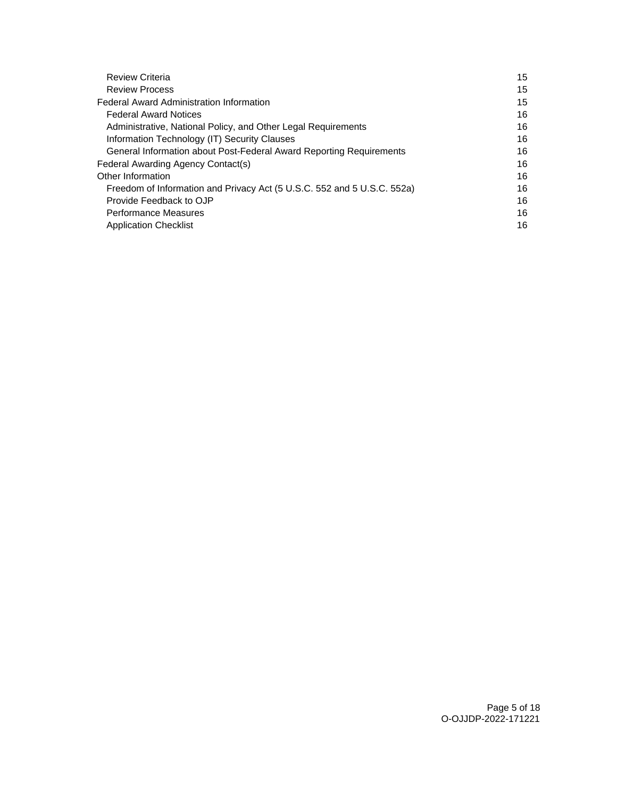| <b>Review Criteria</b>                                                  | 15 |
|-------------------------------------------------------------------------|----|
| <b>Review Process</b>                                                   | 15 |
| <b>Federal Award Administration Information</b>                         | 15 |
| <b>Federal Award Notices</b>                                            | 16 |
| Administrative, National Policy, and Other Legal Requirements           | 16 |
| Information Technology (IT) Security Clauses                            | 16 |
| General Information about Post-Federal Award Reporting Requirements     | 16 |
| Federal Awarding Agency Contact(s)                                      | 16 |
| Other Information                                                       | 16 |
| Freedom of Information and Privacy Act (5 U.S.C. 552 and 5 U.S.C. 552a) | 16 |
| Provide Feedback to OJP                                                 | 16 |
| <b>Performance Measures</b>                                             | 16 |
| <b>Application Checklist</b>                                            | 16 |
|                                                                         |    |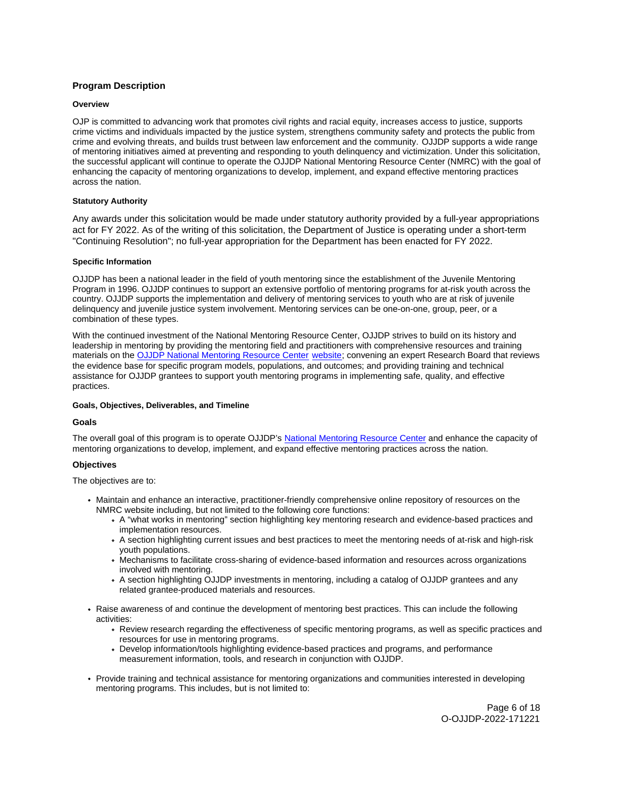# <span id="page-5-0"></span>**Program Description**

## **Overview**

OJP is committed to advancing work that promotes civil rights and racial equity, increases access to justice, supports crime victims and individuals impacted by the justice system, strengthens community safety and protects the public from crime and evolving threats, and builds trust between law enforcement and the community. OJJDP supports a wide range of mentoring initiatives aimed at preventing and responding to youth delinquency and victimization. Under this solicitation, the successful applicant will continue to operate the OJJDP National Mentoring Resource Center (NMRC) with the goal of enhancing the capacity of mentoring organizations to develop, implement, and expand effective mentoring practices across the nation.

## **Statutory Authority**

Any awards under this solicitation would be made under statutory authority provided by a full-year appropriations act for FY 2022. As of the writing of this solicitation, the Department of Justice is operating under a short-term "Continuing Resolution"; no full-year appropriation for the Department has been enacted for FY 2022.

# **Specific Information**

OJJDP has been a national leader in the field of youth mentoring since the establishment of the Juvenile Mentoring Program in 1996. OJJDP continues to support an extensive portfolio of mentoring programs for at-risk youth across the country. OJJDP supports the implementation and delivery of mentoring services to youth who are at risk of juvenile delinquency and juvenile justice system involvement. Mentoring services can be one-on-one, group, peer, or a combination of these types.

With the continued investment of the National Mentoring Resource Center, OJJDP strives to build on its history and leadership in mentoring by providing the mentoring field and practitioners with comprehensive resources and training materials on the [OJJDP National Mentoring Resource Center website;](https://nationalmentoringresourcecenter.org/) convening an expert Research Board that reviews the evidence base for specific program models, populations, and outcomes; and providing training and technical assistance for OJJDP grantees to support youth mentoring programs in implementing safe, quality, and effective practices.

# **Goals, Objectives, Deliverables, and Timeline**

# **Goals**

The overall goal of this program is to operate OJJDP's [National Mentoring Resource Center](https://nationalmentoringresourcecenter.org/) and enhance the capacity of mentoring organizations to develop, implement, and expand effective mentoring practices across the nation.

#### **Objectives**

The objectives are to:

- Maintain and enhance an interactive, practitioner-friendly comprehensive online repository of resources on the NMRC website including, but not limited to the following core functions:
	- A "what works in mentoring" section highlighting key mentoring research and evidence-based practices and implementation resources.
	- A section highlighting current issues and best practices to meet the mentoring needs of at-risk and high-risk youth populations.
	- Mechanisms to facilitate cross-sharing of evidence-based information and resources across organizations involved with mentoring.
	- A section highlighting OJJDP investments in mentoring, including a catalog of OJJDP grantees and any related grantee-produced materials and resources.
- Raise awareness of and continue the development of mentoring best practices. This can include the following activities:
	- Review research regarding the effectiveness of specific mentoring programs, as well as specific practices and resources for use in mentoring programs.
	- Develop information/tools highlighting evidence-based practices and programs, and performance measurement information, tools, and research in conjunction with OJJDP.
- Provide training and technical assistance for mentoring organizations and communities interested in developing mentoring programs. This includes, but is not limited to:

Page 6 of 18 O-OJJDP-2022-171221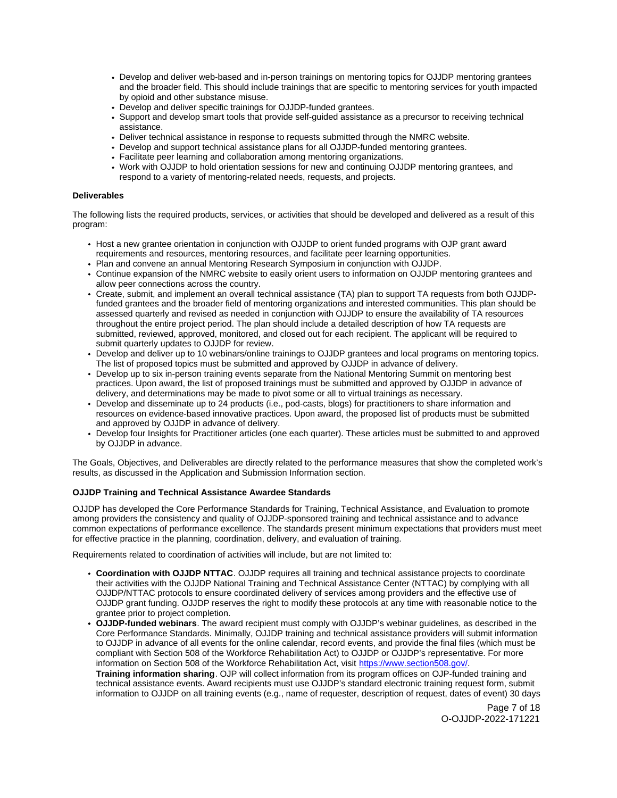- Develop and deliver web-based and in-person trainings on mentoring topics for OJJDP mentoring grantees and the broader field. This should include trainings that are specific to mentoring services for youth impacted by opioid and other substance misuse.
- Develop and deliver specific trainings for OJJDP-funded grantees.
- Support and develop smart tools that provide self-guided assistance as a precursor to receiving technical assistance.
- Deliver technical assistance in response to requests submitted through the NMRC website.
- Develop and support technical assistance plans for all OJJDP-funded mentoring grantees.
- Facilitate peer learning and collaboration among mentoring organizations.
- Work with OJJDP to hold orientation sessions for new and continuing OJJDP mentoring grantees, and respond to a variety of mentoring-related needs, requests, and projects.

# **Deliverables**

The following lists the required products, services, or activities that should be developed and delivered as a result of this program:

- Host a new grantee orientation in conjunction with OJJDP to orient funded programs with OJP grant award requirements and resources, mentoring resources, and facilitate peer learning opportunities.
- Plan and convene an annual Mentoring Research Symposium in conjunction with OJJDP.
- Continue expansion of the NMRC website to easily orient users to information on OJJDP mentoring grantees and allow peer connections across the country.
- Create, submit, and implement an overall technical assistance (TA) plan to support TA requests from both OJJDPfunded grantees and the broader field of mentoring organizations and interested communities. This plan should be assessed quarterly and revised as needed in conjunction with OJJDP to ensure the availability of TA resources throughout the entire project period. The plan should include a detailed description of how TA requests are submitted, reviewed, approved, monitored, and closed out for each recipient. The applicant will be required to submit quarterly updates to OJJDP for review.
- Develop and deliver up to 10 webinars/online trainings to OJJDP grantees and local programs on mentoring topics. The list of proposed topics must be submitted and approved by OJJDP in advance of delivery.
- Develop up to six in-person training events separate from the National Mentoring Summit on mentoring best practices. Upon award, the list of proposed trainings must be submitted and approved by OJJDP in advance of delivery, and determinations may be made to pivot some or all to virtual trainings as necessary.
- Develop and disseminate up to 24 products (i.e., pod-casts, blogs) for practitioners to share information and resources on evidence-based innovative practices. Upon award, the proposed list of products must be submitted and approved by OJJDP in advance of delivery.
- Develop four Insights for Practitioner articles (one each quarter). These articles must be submitted to and approved by OJJDP in advance.

The Goals, Objectives, and Deliverables are directly related to the performance measures that show the completed work's results, as discussed in the Application and Submission Information section.

# **OJJDP Training and Technical Assistance Awardee Standards**

OJJDP has developed the Core Performance Standards for Training, Technical Assistance, and Evaluation to promote among providers the consistency and quality of OJJDP-sponsored training and technical assistance and to advance common expectations of performance excellence. The standards present minimum expectations that providers must meet for effective practice in the planning, coordination, delivery, and evaluation of training.

Requirements related to coordination of activities will include, but are not limited to:

- **Coordination with OJJDP NTTAC**. OJJDP requires all training and technical assistance projects to coordinate their activities with the OJJDP National Training and Technical Assistance Center (NTTAC) by complying with all OJJDP/NTTAC protocols to ensure coordinated delivery of services among providers and the effective use of OJJDP grant funding. OJJDP reserves the right to modify these protocols at any time with reasonable notice to the grantee prior to project completion.
- **OJJDP-funded webinars**. The award recipient must comply with OJJDP's webinar guidelines, as described in the Core Performance Standards. Minimally, OJJDP training and technical assistance providers will submit information to OJJDP in advance of all events for the online calendar, record events, and provide the final files (which must be compliant with Section 508 of the Workforce Rehabilitation Act) to OJJDP or OJJDP's representative. For more information on Section 508 of the Workforce Rehabilitation Act, visit [https://www.section508.gov/.](https://www.section508.gov/)

**Training information sharing**. OJP will collect information from its program offices on OJP-funded training and technical assistance events. Award recipients must use OJJDP's standard electronic training request form, submit information to OJJDP on all training events (e.g., name of requester, description of request, dates of event) 30 days

> Page 7 of 18 O-OJJDP-2022-171221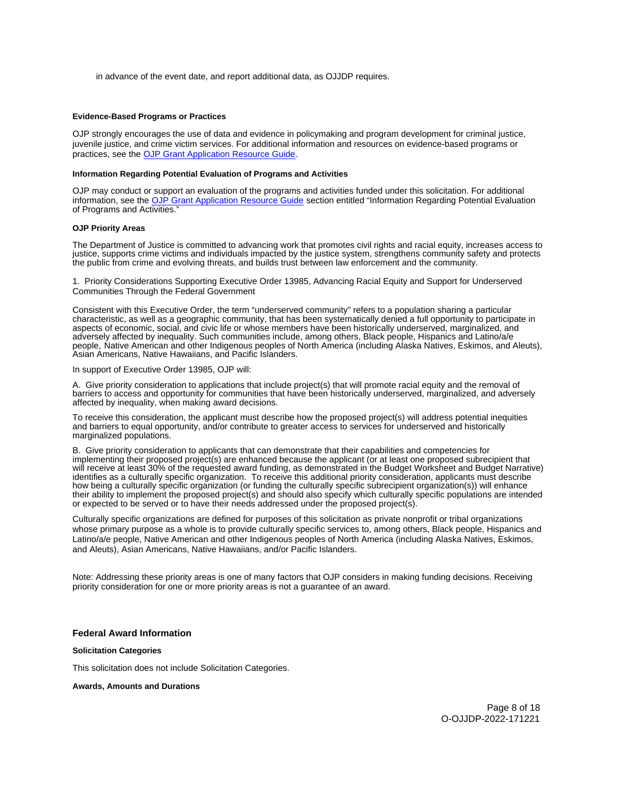<span id="page-7-0"></span>in advance of the event date, and report additional data, as OJJDP requires.

#### **Evidence-Based Programs or Practices**

OJP strongly encourages the use of data and evidence in policymaking and program development for criminal justice, juvenile justice, and crime victim services. For additional information and resources on evidence-based programs or practices, see the [OJP Grant Application Resource Guide.](https://www.ojp.gov/funding/apply/ojp-grant-application-resource-guide#evidence-based)

# **Information Regarding Potential Evaluation of Programs and Activities**

OJP may conduct or support an evaluation of the programs and activities funded under this solicitation. For additional information, see the [OJP Grant Application Resource Guide](https://www.ojp.gov/funding/apply/ojp-grant-application-resource-guide#potential-evaluation) section entitled "Information Regarding Potential Evaluation of Programs and Activities."

#### **OJP Priority Areas**

The Department of Justice is committed to advancing work that promotes civil rights and racial equity, increases access to justice, supports crime victims and individuals impacted by the justice system, strengthens community safety and protects the public from crime and evolving threats, and builds trust between law enforcement and the community.

1. Priority Considerations Supporting Executive Order 13985, Advancing Racial Equity and Support for Underserved Communities Through the Federal Government

Consistent with this Executive Order, the term "underserved community" refers to a population sharing a particular characteristic, as well as a geographic community, that has been systematically denied a full opportunity to participate in aspects of economic, social, and civic life or whose members have been historically underserved, marginalized, and adversely affected by inequality. Such communities include, among others, Black people, Hispanics and Latino/a/e people, Native American and other Indigenous peoples of North America (including Alaska Natives, Eskimos, and Aleuts), Asian Americans, Native Hawaiians, and Pacific Islanders.

#### In support of Executive Order 13985, OJP will:

A. Give priority consideration to applications that include project(s) that will promote racial equity and the removal of barriers to access and opportunity for communities that have been historically underserved, marginalized, and adversely affected by inequality, when making award decisions.

To receive this consideration, the applicant must describe how the proposed project(s) will address potential inequities and barriers to equal opportunity, and/or contribute to greater access to services for underserved and historically marginalized populations.

B. Give priority consideration to applicants that can demonstrate that their capabilities and competencies for implementing their proposed project(s) are enhanced because the applicant (or at least one proposed subrecipient that will receive at least 30% of the requested award funding, as demonstrated in the Budget Worksheet and Budget Narrative) identifies as a culturally specific organization. To receive this additional priority consideration, applicants must describe how being a culturally specific organization (or funding the culturally specific subrecipient organization(s)) will enhance their ability to implement the proposed project(s) and should also specify which culturally specific populations are intended or expected to be served or to have their needs addressed under the proposed project(s).

Culturally specific organizations are defined for purposes of this solicitation as private nonprofit or tribal organizations whose primary purpose as a whole is to provide culturally specific services to, among others, Black people, Hispanics and Latino/a/e people, Native American and other Indigenous peoples of North America (including Alaska Natives, Eskimos, and Aleuts), Asian Americans, Native Hawaiians, and/or Pacific Islanders.

Note: Addressing these priority areas is one of many factors that OJP considers in making funding decisions. Receiving priority consideration for one or more priority areas is not a guarantee of an award.

#### **Federal Award Information**

#### **Solicitation Categories**

This solicitation does not include Solicitation Categories.

**Awards, Amounts and Durations**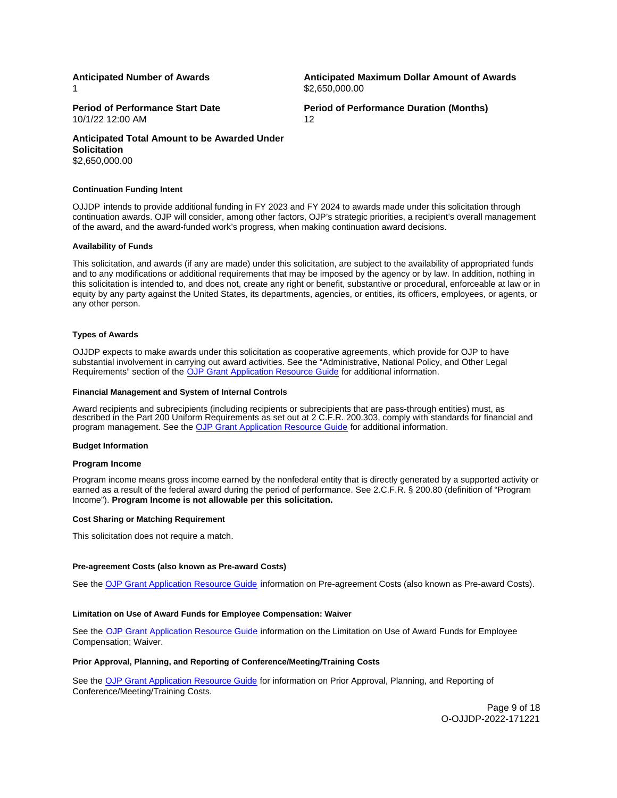1

<span id="page-8-0"></span>**Anticipated Number of Awards Anticipated Maximum Dollar Amount of Awards**  \$[2,650,000.00](https://2,650,000.00)

10/1/22 12:00 AM 12

**Period of Performance Start Date**  Period of Performance Duration (Months)

**Anticipated Total Amount to be Awarded Under Solicitation**  [\\$2,650,000.00](https://2,650,000.00) 

#### **Continuation Funding Intent**

OJJDP intends to provide additional funding in FY 2023 and FY 2024 to awards made under this solicitation through continuation awards. OJP will consider, among other factors, OJP's strategic priorities, a recipient's overall management of the award, and the award-funded work's progress, when making continuation award decisions.

#### **Availability of Funds**

This solicitation, and awards (if any are made) under this solicitation, are subject to the availability of appropriated funds and to any modifications or additional requirements that may be imposed by the agency or by law. In addition, nothing in this solicitation is intended to, and does not, create any right or benefit, substantive or procedural, enforceable at law or in equity by any party against the United States, its departments, agencies, or entities, its officers, employees, or agents, or any other person.

#### **Types of Awards**

OJJDP expects to make awards under this solicitation as cooperative agreements, which provide for OJP to have substantial involvement in carrying out award activities. See the "Administrative, National Policy, and Other Legal Requirements" section of the [OJP Grant Application Resource Guide](https://ojp.gov/funding/Apply/Resources/Grant-App-Resource-Guide.htm) for additional information.

#### **Financial Management and System of Internal Controls**

Award recipients and subrecipients (including recipients or subrecipients that are pass-through entities) must, as described in the Part 200 Uniform Requirements as set out at 2 C.F.R. 200.303, comply with standards for financial and program management. See the [OJP Grant Application Resource Guide](https://www.ojp.gov/funding/apply/ojp-grant-application-resource-guide#fm-internal-controls) for additional information.

#### **Budget Information**

#### **Program Income**

Program income means gross income earned by the nonfederal entity that is directly generated by a supported activity or earned as a result of the federal award during the period of performance. See 2.C.F.R. § 200.80 (definition of "Program Income"). **Program Income is not allowable per this solicitation.** 

#### **Cost Sharing or Matching Requirement**

This solicitation does not require a match.

#### **Pre-agreement Costs (also known as Pre-award Costs)**

See the [OJP Grant Application Resource Guide](https://www.ojp.gov/funding/apply/ojp-grant-application-resource-guide#pre-agreement-costs) information on Pre-agreement Costs (also known as Pre-award Costs).

# **Limitation on Use of Award Funds for Employee Compensation: Waiver**

See the [OJP Grant Application Resource Guide](https://www.ojp.gov/funding/apply/ojp-grant-application-resource-guide#limitation-use-award) information on the Limitation on Use of Award Funds for Employee Compensation; Waiver.

#### **Prior Approval, Planning, and Reporting of Conference/Meeting/Training Costs**

See the [OJP Grant Application Resource Guide](https://www.ojp.gov/funding/apply/ojp-grant-application-resource-guide#prior-approval) for information on Prior Approval, Planning, and Reporting of Conference/Meeting/Training Costs.

> Page 9 of 18 O-OJJDP-2022-171221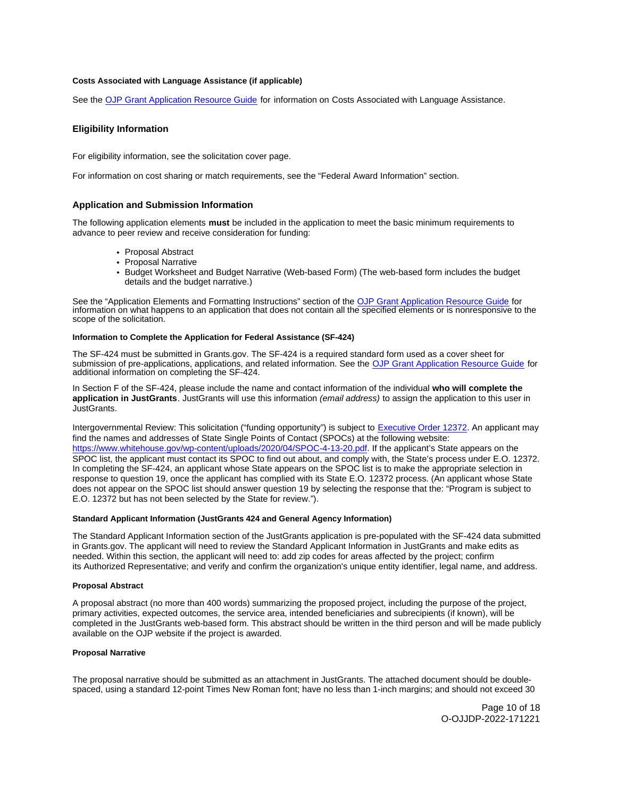#### <span id="page-9-0"></span>**Costs Associated with Language Assistance (if applicable)**

See the [OJP Grant Application Resource Guide](https://www.ojp.gov/funding/apply/ojp-grant-application-resource-guide#costs-associated) for information on Costs Associated with Language Assistance.

# **Eligibility Information**

For eligibility information, see the solicitation cover page.

For information on cost sharing or match requirements, see the "Federal Award Information" section.

# **Application and Submission Information**

The following application elements **must** be included in the application to meet the basic minimum requirements to advance to peer review and receive consideration for funding:

- Proposal Abstract
- Proposal Narrative
- Budget Worksheet and Budget Narrative (Web-based Form) (The web-based form includes the budget details and the budget narrative.)

See the "Application Elements and Formatting Instructions" section of the [OJP Grant Application Resource Guide](https://www.ojp.gov/funding/apply/ojp-grant-application-resource-guide#application-elements) for information on what happens to an application that does not contain all the specified elements or is nonresponsive to the scope of the solicitation.

# **Information to Complete the Application for Federal Assistance (SF-424)**

The SF-424 must be submitted in [Grants.gov.](https://Grants.gov) The SF-424 is a required standard form used as a cover sheet for submission of pre-applications, applications, and related information. See the [OJP Grant Application Resource Guide](https://www.ojp.gov/funding/apply/ojp-grant-application-resource-guide#complete-application) for additional information on completing the SF-424.

In Section F of the SF-424, please include the name and contact information of the individual **who will complete the application in JustGrants**. JustGrants will use this information (email address) to assign the application to this user in JustGrants.

Intergovernmental Review: This solicitation ("funding opportunity") is subject to [Executive Order 12372.](https://www.archives.gov/federal-register/codification/executive-order/12372.html) An applicant may find the names and addresses of State Single Points of Contact (SPOCs) at the following website: [https://www.whitehouse.gov/wp-content/uploads/2020/04/SPOC-4-13-20.pdf.](https://www.whitehouse.gov/wp-content/uploads/2020/01/spoc_1_16_2020.pdf) If the applicant's State appears on the SPOC list, the applicant must contact its SPOC to find out about, and comply with, the State's process under E.O. 12372. In completing the SF-424, an applicant whose State appears on the SPOC list is to make the appropriate selection in response to question 19, once the applicant has complied with its State E.O. 12372 process. (An applicant whose State does not appear on the SPOC list should answer question 19 by selecting the response that the: "Program is subject to E.O. 12372 but has not been selected by the State for review.").

#### **Standard Applicant Information (JustGrants 424 and General Agency Information)**

The Standard Applicant Information section of the JustGrants application is pre-populated with the SF-424 data submitted in [Grants.gov](https://Grants.gov). The applicant will need to review the Standard Applicant Information in JustGrants and make edits as needed. Within this section, the applicant will need to: add zip codes for areas affected by the project; confirm its Authorized Representative; and verify and confirm the organization's unique entity identifier, legal name, and address.

#### **Proposal Abstract**

A proposal abstract (no more than 400 words) summarizing the proposed project, including the purpose of the project, primary activities, expected outcomes, the service area, intended beneficiaries and subrecipients (if known), will be completed in the JustGrants web-based form. This abstract should be written in the third person and will be made publicly available on the OJP website if the project is awarded.

#### **Proposal Narrative**

The proposal narrative should be submitted as an attachment in JustGrants. The attached document should be doublespaced, using a standard 12-point Times New Roman font; have no less than 1-inch margins; and should not exceed 30

> Page 10 of 18 O-OJJDP-2022-171221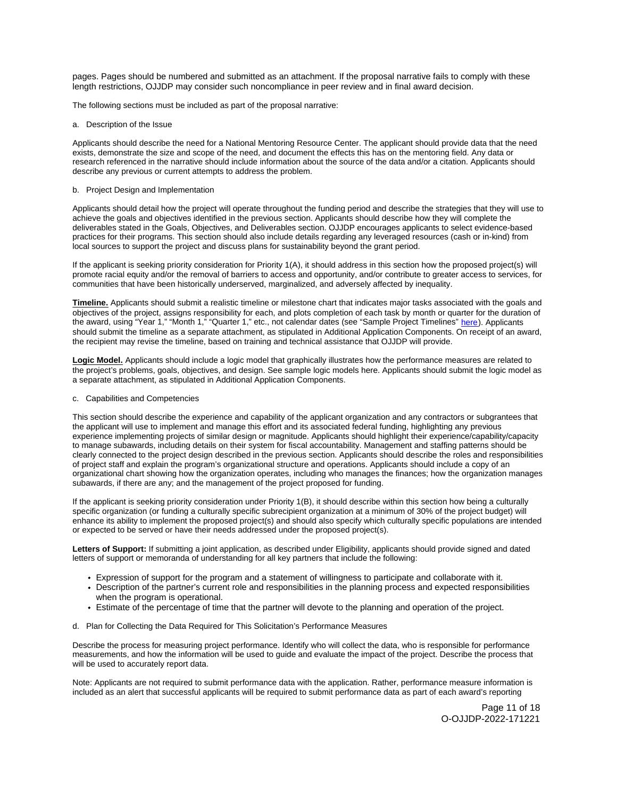pages. Pages should be numbered and submitted as an attachment. If the proposal narrative fails to comply with these length restrictions, OJJDP may consider such noncompliance in peer review and in final award decision.

The following sections must be included as part of the proposal narrative:

#### a. Description of the Issue

Applicants should describe the need for a National Mentoring Resource Center. The applicant should provide data that the need exists, demonstrate the size and scope of the need, and document the effects this has on the mentoring field. Any data or research referenced in the narrative should include information about the source of the data and/or a citation. Applicants should describe any previous or current attempts to address the problem.

#### b. Project Design and Implementation

Applicants should detail how the project will operate throughout the funding period and describe the strategies that they will use to achieve the goals and objectives identified in the previous section. Applicants should describe how they will complete the deliverables stated in the Goals, Objectives, and Deliverables section. OJJDP encourages applicants to select evidence-based practices for their programs. This section should also include details regarding any leveraged resources (cash or in-kind) from local sources to support the project and discuss plans for sustainability beyond the grant period.

If the applicant is seeking priority consideration for Priority 1(A), it should address in this section how the proposed project(s) will promote racial equity and/or the removal of barriers to access and opportunity, and/or contribute to greater access to services, for communities that have been historically underserved, marginalized, and adversely affected by inequality.

**Timeline.** Applicants should submit a realistic timeline or milestone chart that indicates major tasks associated with the goals and objectives of the project, assigns responsibility for each, and plots completion of each task by month or quarter for the duration of the award, using "Year 1," "Month 1," "Quarter 1," etc., not calendar dates (see "Sample Project Timelines" [here\)](https://ojjdp.ojp.gov/funding/ojjdp-sample-timelines). Applicants should submit the timeline as a separate attachment, as stipulated in Additional Application Components. On receipt of an award, the recipient may revise the timeline, based on training and technical assistance that OJJDP will provide.

**Logic Model.** Applicants should include a logic model that graphically illustrates how the performance measures are related to the project's problems, goals, objectives, and design. See sample logic models here. Applicants should submit the logic model as a separate attachment, as stipulated in Additional Application Components.

#### c. Capabilities and Competencies

This section should describe the experience and capability of the applicant organization and any contractors or subgrantees that the applicant will use to implement and manage this effort and its associated federal funding, highlighting any previous experience implementing projects of similar design or magnitude. Applicants should highlight their experience/capability/capacity to manage subawards, including details on their system for fiscal accountability. Management and staffing patterns should be clearly connected to the project design described in the previous section. Applicants should describe the roles and responsibilities of project staff and explain the program's organizational structure and operations. Applicants should include a copy of an organizational chart showing how the organization operates, including who manages the finances; how the organization manages subawards, if there are any; and the management of the project proposed for funding.

If the applicant is seeking priority consideration under Priority 1(B), it should describe within this section how being a culturally specific organization (or funding a culturally specific subrecipient organization at a minimum of 30% of the project budget) will enhance its ability to implement the proposed project(s) and should also specify which culturally specific populations are intended or expected to be served or have their needs addressed under the proposed project(s).

Letters of Support: If submitting a joint application, as described under Eligibility, applicants should provide signed and dated letters of support or memoranda of understanding for all key partners that include the following:

- Expression of support for the program and a statement of willingness to participate and collaborate with it.
- Description of the partner's current role and responsibilities in the planning process and expected responsibilities when the program is operational.
- Estimate of the percentage of time that the partner will devote to the planning and operation of the project.
- d. Plan for Collecting the Data Required for This Solicitation's Performance Measures

Describe the process for measuring project performance. Identify who will collect the data, who is responsible for performance measurements, and how the information will be used to guide and evaluate the impact of the project. Describe the process that will be used to accurately report data.

Note: Applicants are not required to submit performance data with the application. Rather, performance measure information is included as an alert that successful applicants will be required to submit performance data as part of each award's reporting

> Page 11 of 18 O-OJJDP-2022-171221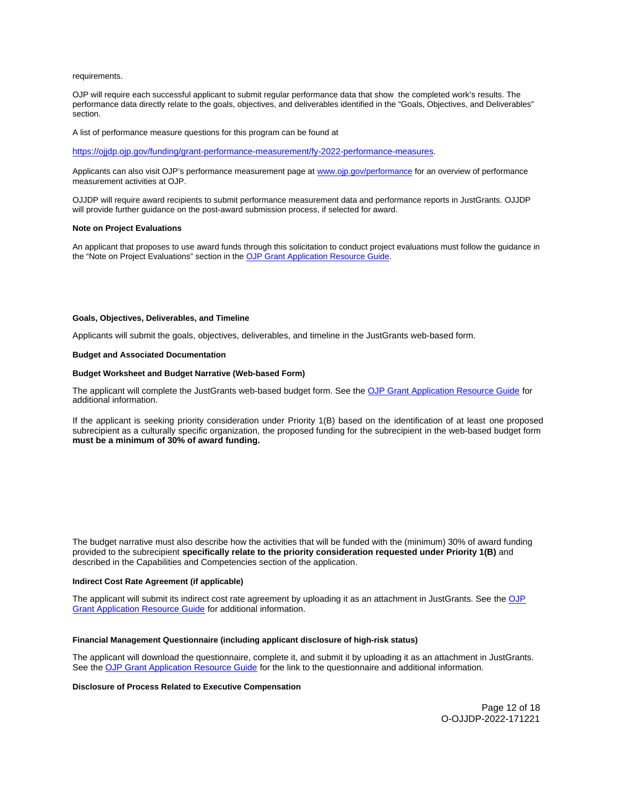#### <span id="page-11-0"></span>requirements.

OJP will require each successful applicant to submit regular performance data that show the completed work's results. The performance data directly relate to the goals, objectives, and deliverables identified in the "Goals, Objectives, and Deliverables" section.

A list of performance measure questions for this program can be found at

[https://ojjdp.ojp.gov/funding/grant-performance-measurement/fy-2022-performance-measures.](https://ojjdp.ojp.gov/funding/grant-performance-measurement/fy-2022-performance-measures)

Applicants can also visit OJP's performance measurement page at [www.ojp.gov/performance](https://www.ojp.gov/performance) for an overview of performance measurement activities at OJP.

OJJDP will require award recipients to submit performance measurement data and performance reports in JustGrants. OJJDP will provide further guidance on the post-award submission process, if selected for award.

#### **Note on Project Evaluations**

An applicant that proposes to use award funds through this solicitation to conduct project evaluations must follow the guidance in the "Note on Project Evaluations" section in the [OJP Grant Application Resource Guide.](https://www.ojp.gov/funding/Apply/Resources/Grant-App-Resource-Guide.htm)

#### **Goals, Objectives, Deliverables, and Timeline**

Applicants will submit the goals, objectives, deliverables, and timeline in the JustGrants web-based form.

#### **Budget and Associated Documentation**

#### **Budget Worksheet and Budget Narrative (Web-based Form)**

The applicant will complete the JustGrants web-based budget form. See the [OJP Grant Application Resource Guide](https://www.ojp.gov/funding/apply/ojp-grant-application-resource-guide#budget-prep) for additional information.

If the applicant is seeking priority consideration under Priority 1(B) based on the identification of at least one proposed subrecipient as a culturally specific organization, the proposed funding for the subrecipient in the web-based budget form **must be a minimum of 30% of award funding.** 

The budget narrative must also describe how the activities that will be funded with the (minimum) 30% of award funding provided to the subrecipient **specifically relate to the priority consideration requested under Priority 1(B)** and described in the Capabilities and Competencies section of the application.

#### **Indirect Cost Rate Agreement (if applicable)**

The applicant will submit its indirect cost rate agreement by uploading it as an attachment in JustGrants. See the OJP [Grant Application Resource Guide](https://www.ojp.gov/funding/apply/ojp-grant-application-resource-guide#indirect-cost) for additional information.

#### **Financial Management Questionnaire (including applicant disclosure of high-risk status)**

The applicant will download the questionnaire, complete it, and submit it by uploading it as an attachment in JustGrants. See the [OJP Grant Application Resource Guide](https://www.ojp.gov/funding/apply/ojp-grant-application-resource-guide#fm-internal-controls-questionnaire) for the link to the questionnaire and additional information.

#### **Disclosure of Process Related to Executive Compensation**

Page 12 of 18 O-OJJDP-2022-171221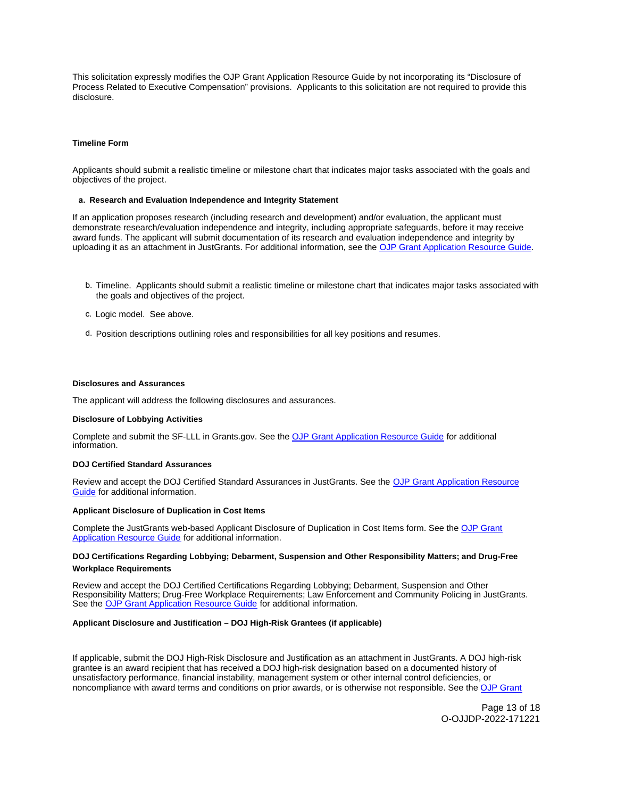<span id="page-12-0"></span>This solicitation expressly modifies the OJP Grant Application Resource Guide by not incorporating its "Disclosure of Process Related to Executive Compensation" provisions. Applicants to this solicitation are not required to provide this disclosure.

## **Timeline Form**

Applicants should submit a realistic timeline or milestone chart that indicates major tasks associated with the goals and objectives of the project.

#### **a. Research and Evaluation Independence and Integrity Statement**

If an application proposes research (including research and development) and/or evaluation, the applicant must demonstrate research/evaluation independence and integrity, including appropriate safeguards, before it may receive award funds. The applicant will submit documentation of its research and evaluation independence and integrity by uploading it as an attachment in JustGrants. For additional information, see the [OJP Grant Application Resource Guide.](https://www.ojp.gov/funding/apply/ojp-grant-application-resource-guide#research-evaluation) 

- b. Timeline. Applicants should submit a realistic timeline or milestone chart that indicates major tasks associated with the goals and objectives of the project.
- c. Logic model. See above.
- d. Position descriptions outlining roles and responsibilities for all key positions and resumes.

#### **Disclosures and Assurances**

The applicant will address the following disclosures and assurances.

#### **Disclosure of Lobbying Activities**

Complete and submit the SF-LLL in [Grants.gov.](https://Grants.gov) See the [OJP Grant Application Resource Guide](https://www.ojp.gov/funding/apply/ojp-grant-application-resource-guide#disclosure-lobby) for additional information.

#### **DOJ Certified Standard Assurances**

Review and accept the DOJ Certified Standard Assurances in JustGrants. See the [OJP Grant Application Resource](https://www.ojp.gov/funding/apply/ojp-grant-application-resource-guide#administrative)  [Guide](https://www.ojp.gov/funding/apply/ojp-grant-application-resource-guide#administrative) for additional information.

#### **Applicant Disclosure of Duplication in Cost Items**

Complete the JustGrants web-based Applicant Disclosure of Duplication in Cost Items form. See the [OJP Grant](https://www.ojp.gov/funding/apply/ojp-grant-application-resource-guide#applicant-disclosure-pending-applications)  [Application Resource Guide](https://www.ojp.gov/funding/apply/ojp-grant-application-resource-guide#applicant-disclosure-pending-applications) for additional information.

# **DOJ Certifications Regarding Lobbying; Debarment, Suspension and Other Responsibility Matters; and Drug-Free Workplace Requirements**

Review and accept the DOJ Certified Certifications Regarding Lobbying; Debarment, Suspension and Other Responsibility Matters; Drug-Free Workplace Requirements; Law Enforcement and Community Policing in JustGrants. See the [OJP Grant Application Resource Guide](https://www.ojp.gov/funding/apply/ojp-grant-application-resource-guide#administrative) for additional information.

#### **Applicant Disclosure and Justification – DOJ High-Risk Grantees (if applicable)**

If applicable, submit the DOJ High-Risk Disclosure and Justification as an attachment in JustGrants. A DOJ high-risk grantee is an award recipient that has received a DOJ high-risk designation based on a documented history of unsatisfactory performance, financial instability, management system or other internal control deficiencies, or noncompliance with award terms and conditions on prior awards, or is otherwise not responsible. See the [OJP Grant](https://www.ojp.gov/funding/apply/ojp-grant-application-resource-guide#applicant-disclosure-justification) 

> Page 13 of 18 O-OJJDP-2022-171221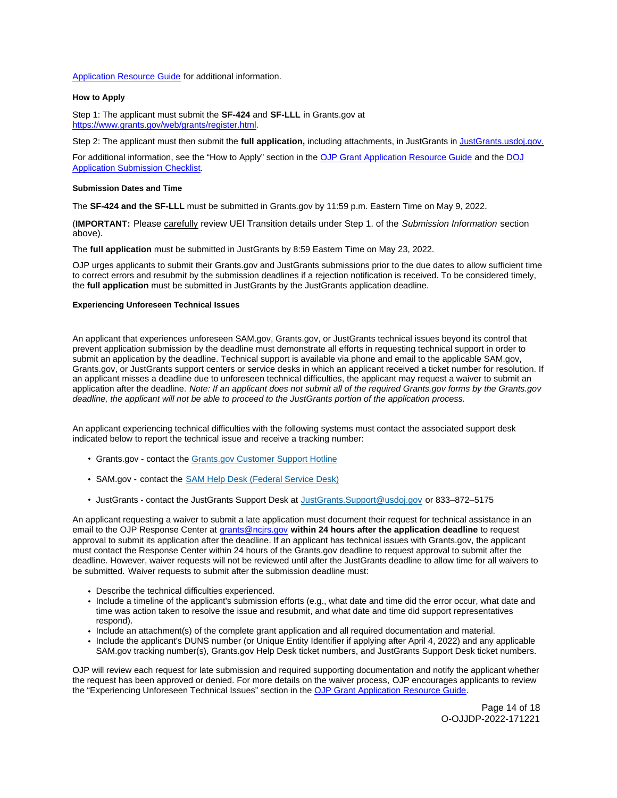<span id="page-13-0"></span>[Application Resource Guide](https://www.ojp.gov/funding/apply/ojp-grant-application-resource-guide#applicant-disclosure-justification) for additional information.

### **How to Apply**

Step 1: The applicant must submit the **SF-424** and **SF-LLL** in [Grants.gov](https://Grants.gov) at [https://www.grants.gov/web/grants/register.html.](https://www.grants.gov/web/grants/register.html) 

Step 2: The applicant must then submit the **full application,** including attachments, in JustGrants in [JustGrants.usdoj.gov](https://justicegrants.usdoj.gov/).

For additional information, see the "How to Apply" section in the [OJP Grant Application Resource Guide](https://www.ojp.gov/funding/apply/ojp-grant-application-resource-guide#apply) and the [DOJ](https://justicegrants.usdoj.gov/sites/g/files/xyckuh296/files/media/document/appln-submission-checklist.pdf) [Application Submission Checklist.](https://justicegrants.usdoj.gov/sites/g/files/xyckuh296/files/media/document/appln-submission-checklist.pdf)

#### **Submission Dates and Time**

The **SF-424 and the SF-LLL** must be submitted in [Grants.gov](https://Grants.gov) by 11:59 p.m. Eastern Time on May 9, 2022.

(**IMPORTANT:** Please carefully review UEI Transition details under Step 1. of the Submission Information section above).

The **full application** must be submitted in JustGrants by 8:59 Eastern Time on May 23, 2022.

OJP urges applicants to submit their [Grants.gov](https://Grants.gov) and JustGrants submissions prior to the due dates to allow sufficient time to correct errors and resubmit by the submission deadlines if a rejection notification is received. To be considered timely, the **full application** must be submitted in JustGrants by the JustGrants application deadline.

#### **Experiencing Unforeseen Technical Issues**

An applicant that experiences unforeseen SAM.gov, [Grants.gov,](https://Grants.gov) or JustGrants technical issues beyond its control that prevent application submission by the deadline must demonstrate all efforts in requesting technical support in order to submit an application by the deadline. Technical support is available via phone and email to the applicable SAM.gov, [Grants.gov](https://Grants.gov), or JustGrants support centers or service desks in which an applicant received a ticket number for resolution. If an applicant misses a deadline due to unforeseen technical difficulties, the applicant may request a waiver to submit an application after the deadline. Note: If an applicant does not submit all of the required [Grants.gov](https://Grants.gov) forms by the [Grants.gov](https://Grants.gov) deadline, the applicant will not be able to proceed to the JustGrants portion of the application process.

An applicant experiencing technical difficulties with the following systems must contact the associated support desk indicated below to report the technical issue and receive a tracking number:

- [Grants.gov](https://Grants.gov)  contact the [Grants.gov Customer Support Hotline](https://www.grants.gov/web/grants/support.html)
- SAM.gov contact the [SAM Help Desk \(Federal Service Desk\)](https://www.fsd.gov/gsafsd_sp)
- JustGrants contact the JustGrants Support Desk at [JustGrants.Support@usdoj.gov](mailto:JustGrants.Support@usdoj.gov) or 833–872–5175

An applicant requesting a waiver to submit a late application must document their request for technical assistance in an email to the OJP Response Center at [grants@ncjrs.gov](file:///C:/Users/local_Yehj/INetCache/Content.Outlook/20U4XBR7/grants@ncjrs.gov) **within 24 hours after the application deadline** to request approval to submit its application after the deadline. If an applicant has technical issues with [Grants.gov,](https://Grants.gov) the applicant must contact the Response Center within 24 hours of the [Grants.gov](https://Grants.gov) deadline to request approval to submit after the deadline. However, waiver requests will not be reviewed until after the JustGrants deadline to allow time for all waivers to be submitted. Waiver requests to submit after the submission deadline must:

- Describe the technical difficulties experienced.
- Include a timeline of the applicant's submission efforts (e.g., what date and time did the error occur, what date and time was action taken to resolve the issue and resubmit, and what date and time did support representatives respond).
- Include an attachment(s) of the complete grant application and all required documentation and material.
- Include the applicant's DUNS number (or Unique Entity Identifier if applying after April 4, 2022) and any applicable SAM.gov tracking number(s), [Grants.gov](https://Grants.gov) Help Desk ticket numbers, and JustGrants Support Desk ticket numbers.

OJP will review each request for late submission and required supporting documentation and notify the applicant whether the request has been approved or denied. For more details on the waiver process, OJP encourages applicants to review the "Experiencing Unforeseen Technical Issues" section in the [OJP Grant Application Resource Guide](https://www.ojp.gov/funding/apply/ojp-grant-application-resource-guide#experiencing-unforeseen-technical-issues).

> Page 14 of 18 O-OJJDP-2022-171221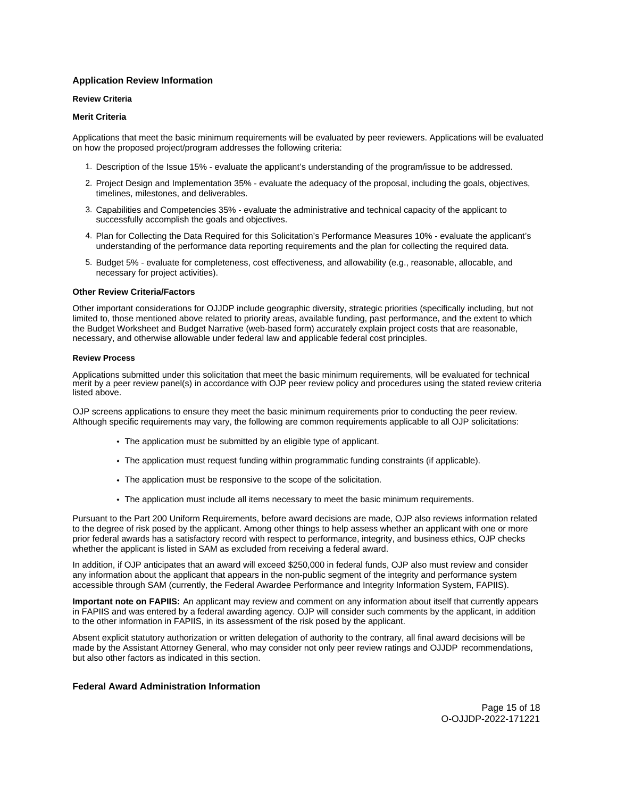# <span id="page-14-0"></span>**Application Review Information**

# **Review Criteria**

#### **Merit Criteria**

Applications that meet the basic minimum requirements will be evaluated by peer reviewers. Applications will be evaluated on how the proposed project/program addresses the following criteria:

- 1. Description of the Issue 15% evaluate the applicant's understanding of the program/issue to be addressed.
- 2. Project Design and Implementation 35% evaluate the adequacy of the proposal, including the goals, objectives, timelines, milestones, and deliverables.
- 3. Capabilities and Competencies 35% evaluate the administrative and technical capacity of the applicant to successfully accomplish the goals and objectives.
- 4. Plan for Collecting the Data Required for this Solicitation's Performance Measures 10% evaluate the applicant's understanding of the performance data reporting requirements and the plan for collecting the required data.
- 5. Budget 5% evaluate for completeness, cost effectiveness, and allowability (e.g., reasonable, allocable, and necessary for project activities).

## **Other Review Criteria/Factors**

Other important considerations for OJJDP include geographic diversity, strategic priorities (specifically including, but not limited to, those mentioned above related to priority areas, available funding, past performance, and the extent to which the Budget Worksheet and Budget Narrative (web-based form) accurately explain project costs that are reasonable, necessary, and otherwise allowable under federal law and applicable federal cost principles.

#### **Review Process**

Applications submitted under this solicitation that meet the basic minimum requirements, will be evaluated for technical merit by a peer review panel(s) in accordance with OJP peer review policy and procedures using the stated review criteria listed above.

OJP screens applications to ensure they meet the basic minimum requirements prior to conducting the peer review. Although specific requirements may vary, the following are common requirements applicable to all OJP solicitations:

- The application must be submitted by an eligible type of applicant.
- The application must request funding within programmatic funding constraints (if applicable).
- The application must be responsive to the scope of the solicitation.
- The application must include all items necessary to meet the basic minimum requirements.

Pursuant to the Part 200 Uniform Requirements, before award decisions are made, OJP also reviews information related to the degree of risk posed by the applicant. Among other things to help assess whether an applicant with one or more prior federal awards has a satisfactory record with respect to performance, integrity, and business ethics, OJP checks whether the applicant is listed in SAM as excluded from receiving a federal award.

In addition, if OJP anticipates that an award will exceed \$250,000 in federal funds, OJP also must review and consider any information about the applicant that appears in the non-public segment of the integrity and performance system accessible through SAM (currently, the Federal Awardee Performance and Integrity Information System, FAPIIS).

**Important note on FAPIIS:** An applicant may review and comment on any information about itself that currently appears in FAPIIS and was entered by a federal awarding agency. OJP will consider such comments by the applicant, in addition to the other information in FAPIIS, in its assessment of the risk posed by the applicant.

Absent explicit statutory authorization or written delegation of authority to the contrary, all final award decisions will be made by the Assistant Attorney General, who may consider not only peer review ratings and OJJDP recommendations, but also other factors as indicated in this section.

# **Federal Award Administration Information**

Page 15 of 18 O-OJJDP-2022-171221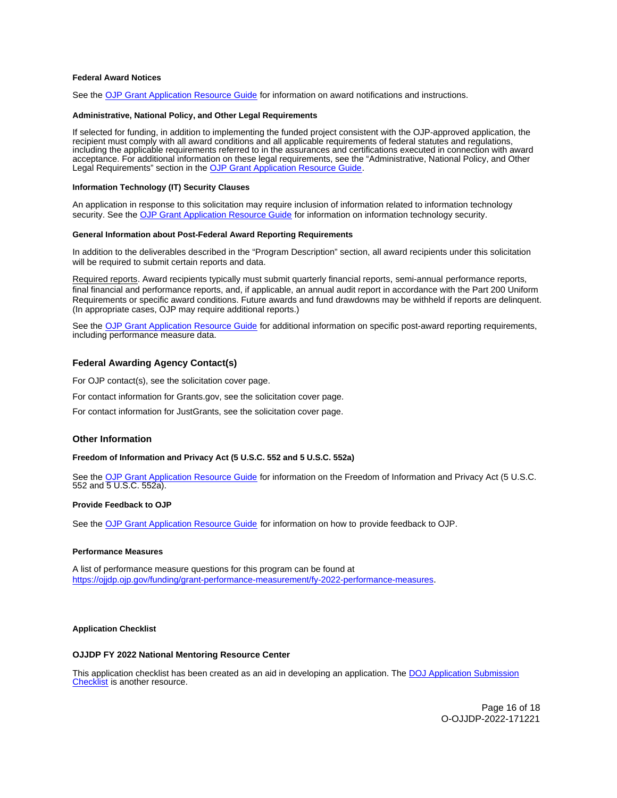# <span id="page-15-0"></span>**Federal Award Notices**

See the [OJP Grant Application Resource Guide](https://www.ojp.gov/funding/apply/ojp-grant-application-resource-guide#federal-award-notices) for information on award notifications and instructions.

#### **Administrative, National Policy, and Other Legal Requirements**

If selected for funding, in addition to implementing the funded project consistent with the OJP-approved application, the recipient must comply with all award conditions and all applicable requirements of federal statutes and regulations, including the applicable requirements referred to in the assurances and certifications executed in connection with award acceptance. For additional information on these legal requirements, see the "Administrative, National Policy, and Other Legal Requirements" section in the [OJP Grant Application Resource Guide.](https://www.ojp.gov/funding/apply/ojp-grant-application-resource-guide#administrative)

#### **Information Technology (IT) Security Clauses**

An application in response to this solicitation may require inclusion of information related to information technology security. See the [OJP Grant Application Resource Guide](https://www.ojp.gov/funding/apply/ojp-grant-application-resource-guide#information-technology) for information on information technology security.

# **General Information about Post-Federal Award Reporting Requirements**

In addition to the deliverables described in the "Program Description" section, all award recipients under this solicitation will be required to submit certain reports and data.

Required reports. Award recipients typically must submit quarterly financial reports, semi-annual performance reports, final financial and performance reports, and, if applicable, an annual audit report in accordance with the Part 200 Uniform Requirements or specific award conditions. Future awards and fund drawdowns may be withheld if reports are delinquent. (In appropriate cases, OJP may require additional reports.)

See the [OJP Grant Application Resource Guide](https://www.ojp.gov/funding/apply/ojp-grant-application-resource-guide#general-information) for additional information on specific post-award reporting requirements, including performance measure data.

# **Federal Awarding Agency Contact(s)**

For OJP contact(s), see the solicitation cover page.

For contact information for [Grants.gov,](https://Grants.gov) see the solicitation cover page.

For contact information for JustGrants, see the solicitation cover page.

# **Other Information**

# **Freedom of Information and Privacy Act (5 U.S.C. 552 and 5 U.S.C. 552a)**

See the [OJP Grant Application Resource Guide](https://www.ojp.gov/funding/apply/ojp-grant-application-resource-guide#foia) for information on the Freedom of Information and Privacy Act (5 U.S.C. 552 and 5 U.S.C. 552a).

# **Provide Feedback to OJP**

See the [OJP Grant Application Resource Guide](https://www.ojp.gov/funding/apply/ojp-grant-application-resource-guide#feedback) for information on how to provide feedback to OJP.

#### **Performance Measures**

A list of performance measure questions for this program can be found at [https://ojjdp.ojp.gov/funding/grant-performance-measurement/fy-2022-performance-measures.](https://ojjdp.ojp.gov/funding/grant-performance-measurement/fy-2021-performance-measures)

# **Application Checklist**

# **OJJDP FY 2022 National Mentoring Resource Center**

This application checklist has been created as an aid in developing an application. The [DOJ Application Submission](https://justicegrants.usdoj.gov/sites/g/files/xyckuh296/files/media/document/appln-submission-checklist.pdf)  [Checklist](https://justicegrants.usdoj.gov/sites/g/files/xyckuh296/files/media/document/appln-submission-checklist.pdf) is another resource.

> Page 16 of 18 O-OJJDP-2022-171221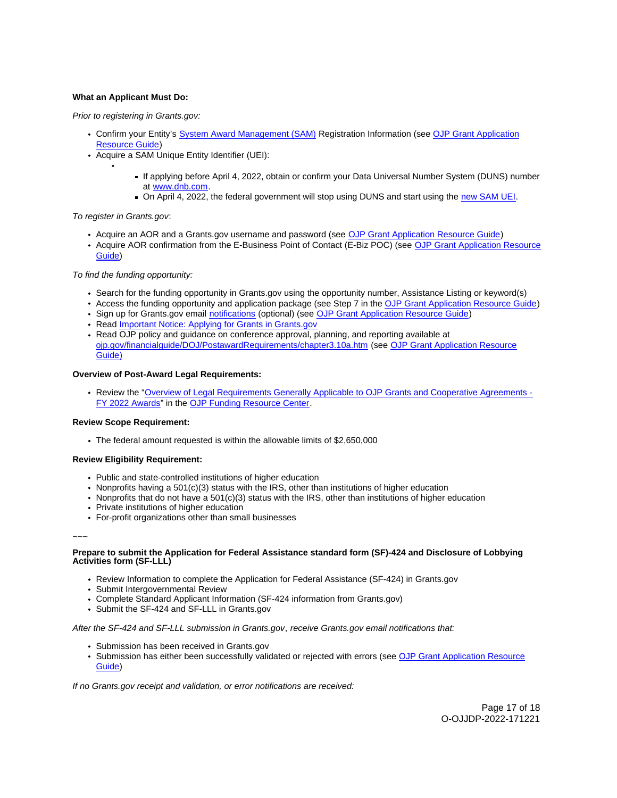# **What an Applicant Must Do:**

Prior to registering in [Grants.gov:](https://Grants.gov)

- Confirm your Entity's [System Award Management \(SAM\)](https://sam.gov/SAM/) Registration Information (see [OJP Grant Application](https://www.ojp.gov/funding/apply/ojp-grant-application-resource-guide#apply)  [Resource Guide\)](https://www.ojp.gov/funding/apply/ojp-grant-application-resource-guide#apply)
- Acquire a SAM Unique Entity Identifier (UEI):
	- If applying before April 4, 2022, obtain or confirm your Data Universal Number System (DUNS) number at [www.dnb.com.](http://www.dnb.com)
	- On April 4, 2022, the federal government will stop using DUNS and start using the [new SAM UEI.](https://justicegrants.usdoj.gov/resources/system-for-award-management#transition-to-unique-entity-id-sam)

# To register in [Grants.gov](https://Grants.gov):

- Acquire an AOR and a [Grants.gov](https://Grants.gov) username and password (see [OJP Grant Application Resource Guide\)](https://www.ojp.gov/funding/apply/ojp-grant-application-resource-guide#apply)
- Acquire AOR confirmation from the E-Business Point of Contact (E-Biz POC) (see [OJP Grant Application Resource](https://www.ojp.gov/funding/apply/ojp-grant-application-resource-guide#apply)  [Guide\)](https://www.ojp.gov/funding/apply/ojp-grant-application-resource-guide#apply)

# To find the funding opportunity:

- Search for the funding opportunity in [Grants.gov](https://Grants.gov) using the opportunity number, Assistance Listing or keyword(s)
- Access the funding opportunity and application package (see Step 7 in the [OJP Grant Application Resource Guide\)](https://www.ojp.gov/funding/apply/ojp-grant-application-resource-guide#apply)
- Sign up for Grants.gov email [notifications](https://www.grants.gov/web/grants/manage-subscriptions.html) (optional) (see [OJP Grant Application Resource Guide\)](https://www.ojp.gov/funding/apply/ojp-grant-application-resource-guide#apply)
- Read Important Notice: Applying for Grants in Grants.gov
- Read OJP policy and guidance on conference approval, planning, and reporting available at [ojp.gov/financialguide/DOJ/PostawardRequirements/chapter3.10a.ht](https://ojp.gov/financialguide/DOJ/PostawardRequirements/chapter3.10a.htm)[m \(see OJP Grant Application Resource](https://www.ojp.gov/funding/apply/ojp-grant-application-resource-guide#prior-approval) Guide)

# **Overview of Post-Award Legal Requirements:**

Review the "[Overview of Legal Requirements Generally Applicable to OJP Grants and Cooperative Agreements -](https://www.ojp.gov/funding/explore/legal-overview-awards) [FY 2022 Awards"](https://www.ojp.gov/funding/explore/legal-overview-awards) in the [OJP Funding Resource Center.](https://www.ojp.gov/funding/explore/legal-overview-awards)

# **Review Scope Requirement:**

The federal amount requested is within the allowable limits of \$2,650,000

# **Review Eligibility Requirement:**

- Public and state-controlled institutions of higher education
- Nonprofits having a 501(c)(3) status with the IRS, other than institutions of higher education
- Nonprofits that do not have a 501(c)(3) status with the IRS, other than institutions of higher education
- Private institutions of higher education
- For-profit organizations other than small businesses

#### ~~~

#### **Prepare to submit the Application for Federal Assistance standard form (SF)-424 and Disclosure of Lobbying Activities form (SF-LLL)**

- Review Information to complete the Application for Federal Assistance (SF-424) in Grants.gov
- Submit Intergovernmental Review
- Complete Standard Applicant Information (SF-424 information from [Grants.gov\)](https://Grants.gov)
- Submit the SF-424 and SF-LLL in [Grants.gov](https://Grants.gov)

After the SF-424 and SF-LLL submission in [Grants.gov](https://Grants.gov), receive [Grants.gov](https://Grants.gov) email notifications that:

- Submission has been received in [Grants.gov](https://Grants.gov)
- Submission has either been successfully validated or rejected with errors (see OJP Grant Application Resource [Guide\)](https://www.ojp.gov/funding/apply/ojp-grant-application-resource-guide#apply)

If no [Grants.gov](https://Grants.gov) receipt and validation, or error notifications are received: